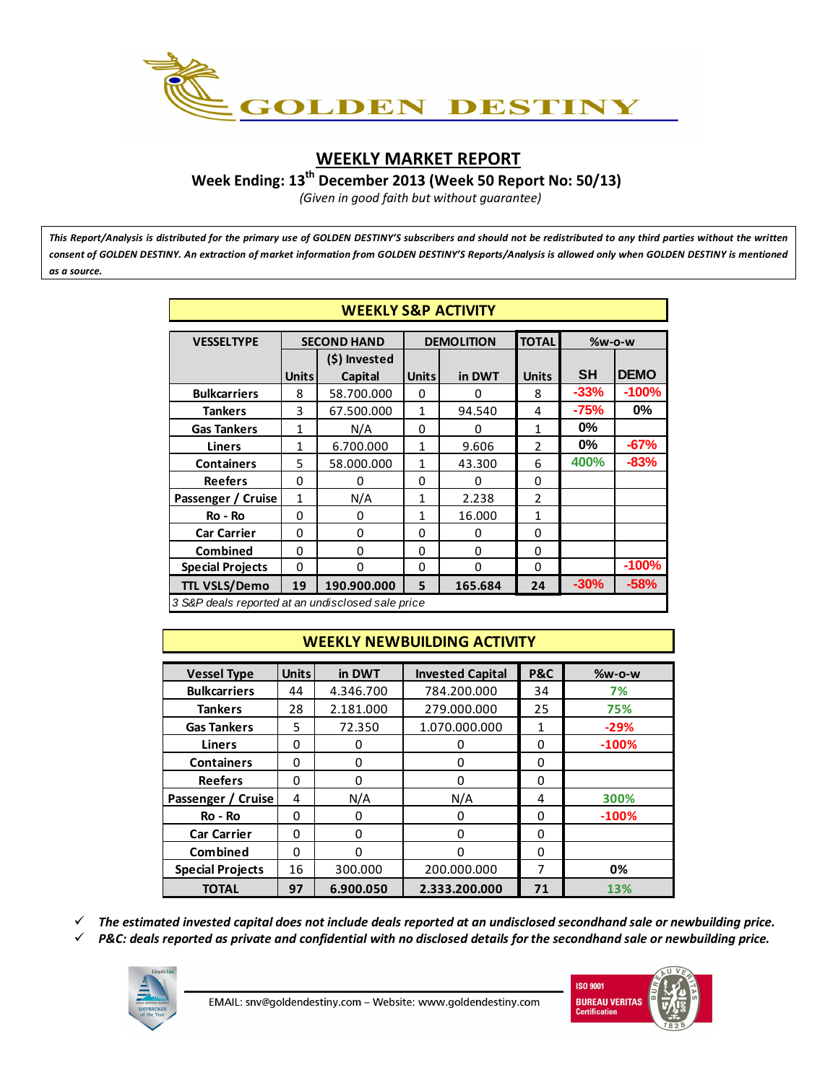

## **WEEKLY MARKET REPORT**

**Week Ending: 13th December 2013 (Week 50 Report No: 50/13)**

*(Given in good faith but without guarantee)*

*This Report/Analysis is distributed for the primary use of GOLDEN DESTINY'S subscribers and should not be redistributed to any third parties without the written consent of GOLDEN DESTINY. An extraction of market information from GOLDEN DESTINY'S Reports/Analysis is allowed only when GOLDEN DESTINY is mentioned as a source.*

|                                                   | <b>WEEKLY S&amp;P ACTIVITY</b> |                    |              |                   |                |           |             |  |  |  |
|---------------------------------------------------|--------------------------------|--------------------|--------------|-------------------|----------------|-----------|-------------|--|--|--|
|                                                   |                                |                    |              |                   |                |           |             |  |  |  |
| <b>VESSELTYPE</b>                                 |                                | <b>SECOND HAND</b> |              | <b>DEMOLITION</b> | <b>TOTAL</b>   | $%w-o-w$  |             |  |  |  |
|                                                   |                                | (\$) Invested      |              |                   |                |           |             |  |  |  |
|                                                   | <b>Units</b>                   | Capital            | <b>Units</b> | in DWT            | <b>Units</b>   | <b>SH</b> | <b>DEMO</b> |  |  |  |
| <b>Bulkcarriers</b>                               | 8                              | 58.700.000         | 0            | 0                 | 8              | $-33%$    | $-100%$     |  |  |  |
| <b>Tankers</b>                                    | 3                              | 67.500.000         | 1            | 94.540            | 4              | $-75%$    | $0\%$       |  |  |  |
| <b>Gas Tankers</b>                                | $\mathbf{1}$                   | N/A                | 0            | 0                 | 1              | $0\%$     |             |  |  |  |
| <b>Liners</b>                                     | 1                              | 6.700.000          | 1            | 9.606             | $\mathfrak{p}$ | $0\%$     | $-67%$      |  |  |  |
| <b>Containers</b>                                 | 5                              | 58.000.000         | 1            | 43.300            | 6              | 400%      | $-83%$      |  |  |  |
| <b>Reefers</b>                                    | 0                              | 0                  | 0            | $\Omega$          | 0              |           |             |  |  |  |
| Passenger / Cruise                                | $\mathbf{1}$                   | N/A                | 1            | 2.238             | $\mathfrak{p}$ |           |             |  |  |  |
| Ro - Ro                                           | 0                              | $\Omega$           | 1            | 16.000            | 1              |           |             |  |  |  |
| <b>Car Carrier</b>                                | 0                              | $\Omega$           | 0            | 0                 | $\Omega$       |           |             |  |  |  |
| <b>Combined</b>                                   | 0                              | $\Omega$           | 0            | $\Omega$          | 0              |           |             |  |  |  |
| <b>Special Projects</b>                           | 0                              | 0                  | 0            | $\Omega$          | 0              |           | $-100%$     |  |  |  |
| <b>TTL VSLS/Demo</b>                              | 19                             | 190.900.000        | 5            | 165.684           | 24             | $-30%$    | $-58%$      |  |  |  |
| 3 S&P deals reported at an undisclosed sale price |                                |                    |              |                   |                |           |             |  |  |  |

# **WEEKLY NEWBUILDING ACTIVITY**

| <b>Vessel Type</b>      | <b>Units</b> | in DWT    | <b>Invested Capital</b> | <b>P&amp;C</b> | <b>%w-o-w</b> |
|-------------------------|--------------|-----------|-------------------------|----------------|---------------|
| <b>Bulkcarriers</b>     | 44           | 4.346.700 | 784.200.000             | 34             | 7%            |
| <b>Tankers</b>          | 28           | 2.181.000 | 279.000.000             | 25             | 75%           |
| <b>Gas Tankers</b>      | 5            | 72.350    | 1.070.000.000           | 1              | $-29%$        |
| <b>Liners</b>           | $\Omega$     | 0         | 0                       | 0              | $-100%$       |
| <b>Containers</b>       | 0            | 0         | 0                       | $\Omega$       |               |
| <b>Reefers</b>          | 0            | $\Omega$  | 0                       | 0              |               |
| Passenger / Cruise      | 4            | N/A       | N/A                     | 4              | 300%          |
| Ro - Ro                 | 0            | 0         | 0                       | 0              | $-100%$       |
| <b>Car Carrier</b>      | $\Omega$     | $\Omega$  | $\Omega$                | $\Omega$       |               |
| Combined                | $\Omega$     | $\Omega$  | 0                       | $\Omega$       |               |
| <b>Special Projects</b> | 16           | 300.000   | 200.000.000             | 7              | 0%            |
| <b>TOTAL</b>            | 97           | 6.900.050 | 2.333.200.000           | 71             | 13%           |

¸ *The estimated invested capital does not include deals reported at an undisclosed secondhand sale or newbuilding price.*

 $\checkmark$  P&C: deals reported as private and confidential with no disclosed details for the secondhand sale or newbuilding price.



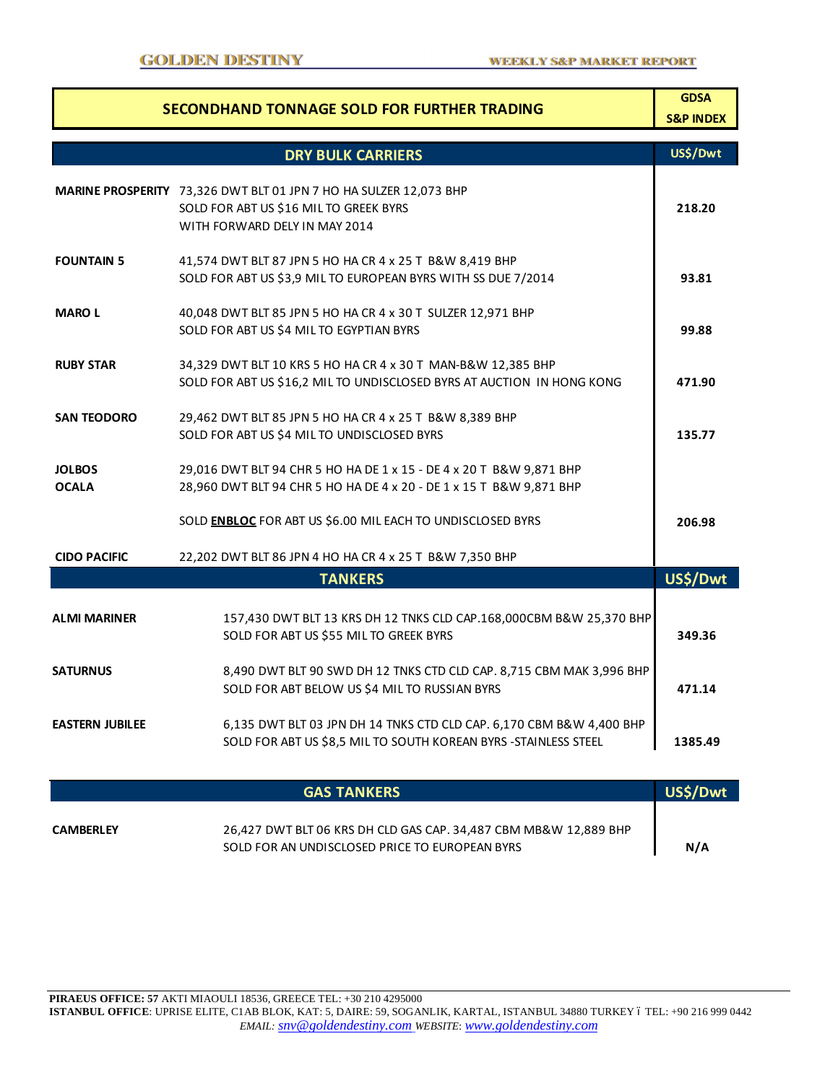| <b>SECONDHAND TONNAGE SOLD FOR FURTHER TRADING</b> |                                                                                                                                              |          |  |  |  |  |  |
|----------------------------------------------------|----------------------------------------------------------------------------------------------------------------------------------------------|----------|--|--|--|--|--|
|                                                    | <b>DRY BULK CARRIERS</b>                                                                                                                     | US\$/Dwt |  |  |  |  |  |
|                                                    | MARINE PROSPERITY 73,326 DWT BLT 01 JPN 7 HO HA SULZER 12,073 BHP<br>SOLD FOR ABT US \$16 MIL TO GREEK BYRS<br>WITH FORWARD DELY IN MAY 2014 | 218.20   |  |  |  |  |  |
| <b>FOUNTAIN 5</b>                                  | 41,574 DWT BLT 87 JPN 5 HO HA CR 4 x 25 T B&W 8,419 BHP<br>SOLD FOR ABT US \$3,9 MIL TO EUROPEAN BYRS WITH SS DUE 7/2014                     | 93.81    |  |  |  |  |  |
| <b>MAROL</b>                                       | 40,048 DWT BLT 85 JPN 5 HO HA CR 4 x 30 T SULZER 12,971 BHP<br>SOLD FOR ABT US \$4 MIL TO EGYPTIAN BYRS                                      | 99.88    |  |  |  |  |  |
| <b>RUBY STAR</b>                                   | 34,329 DWT BLT 10 KRS 5 HO HA CR 4 x 30 T MAN-B&W 12,385 BHP<br>SOLD FOR ABT US \$16,2 MIL TO UNDISCLOSED BYRS AT AUCTION IN HONG KONG       | 471.90   |  |  |  |  |  |
| <b>SAN TEODORO</b>                                 | 29,462 DWT BLT 85 JPN 5 HO HA CR 4 x 25 T B&W 8,389 BHP<br>SOLD FOR ABT US \$4 MIL TO UNDISCLOSED BYRS                                       | 135.77   |  |  |  |  |  |
| <b>JOLBOS</b><br><b>OCALA</b>                      | 29,016 DWT BLT 94 CHR 5 HO HA DE 1 x 15 - DE 4 x 20 T B&W 9,871 BHP<br>28,960 DWT BLT 94 CHR 5 HO HA DE 4 x 20 - DE 1 x 15 T B&W 9,871 BHP   |          |  |  |  |  |  |
|                                                    | SOLD ENBLOC FOR ABT US \$6.00 MIL EACH TO UNDISCLOSED BYRS                                                                                   | 206.98   |  |  |  |  |  |
| <b>CIDO PACIFIC</b>                                | 22,202 DWT BLT 86 JPN 4 HO HA CR 4 x 25 T B&W 7,350 BHP                                                                                      |          |  |  |  |  |  |
|                                                    | <b>TANKERS</b>                                                                                                                               | US\$/Dwt |  |  |  |  |  |
| <b>ALMI MARINER</b>                                | 157,430 DWT BLT 13 KRS DH 12 TNKS CLD CAP.168,000CBM B&W 25,370 BHP<br>SOLD FOR ABT US \$55 MIL TO GREEK BYRS                                | 349.36   |  |  |  |  |  |
| <b>SATURNUS</b>                                    | 8,490 DWT BLT 90 SWD DH 12 TNKS CTD CLD CAP. 8,715 CBM MAK 3,996 BHP<br>SOLD FOR ABT BELOW US \$4 MIL TO RUSSIAN BYRS                        | 471.14   |  |  |  |  |  |
| <b>EASTERN JUBILEE</b>                             | 6,135 DWT BLT 03 JPN DH 14 TNKS CTD CLD CAP. 6,170 CBM B&W 4,400 BHP<br>SOLD FOR ABT US \$8,5 MIL TO SOUTH KOREAN BYRS - STAINLESS STEEL     | 1385.49  |  |  |  |  |  |
|                                                    | <b>GAS TANKERS</b>                                                                                                                           | US\$/Dwt |  |  |  |  |  |
| <b>CAMBERLEY</b>                                   | 26,427 DWT BLT 06 KRS DH CLD GAS CAP. 34,487 CBM MB&W 12,889 BHP<br>SOLD FOR AN UNDISCLOSED PRICE TO EUROPEAN BYRS                           | N/A      |  |  |  |  |  |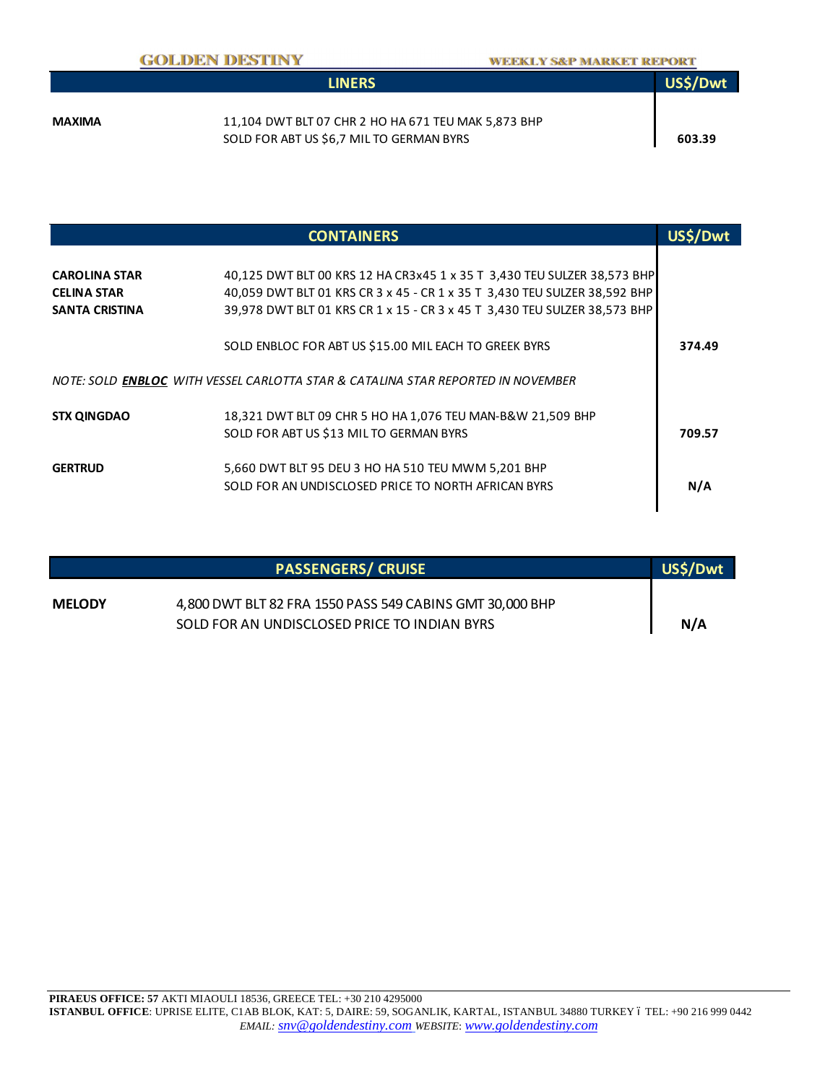|        | <b>LINERS</b>                                       | US\$/Dwt |
|--------|-----------------------------------------------------|----------|
|        |                                                     |          |
| MAXIMA | 11,104 DWT BLT 07 CHR 2 HO HA 671 TEU MAK 5,873 BHP |          |
|        | SOLD FOR ABT US \$6,7 MIL TO GERMAN BYRS            | 603.39   |

|                       | <b>CONTAINERS</b>                                                                       |        |
|-----------------------|-----------------------------------------------------------------------------------------|--------|
|                       |                                                                                         |        |
| <b>CAROLINA STAR</b>  | 40,125 DWT BLT 00 KRS 12 HA CR3x45 1 x 35 T 3,430 TEU SULZER 38,573 BHP                 |        |
| <b>CELINA STAR</b>    | 40,059 DWT BLT 01 KRS CR 3 x 45 - CR 1 x 35 T 3,430 TEU SULZER 38,592 BHP               |        |
| <b>SANTA CRISTINA</b> | 39,978 DWT BLT 01 KRS CR 1 x 15 - CR 3 x 45 T 3,430 TEU SULZER 38,573 BHP               |        |
|                       | SOLD ENBLOC FOR ABT US \$15.00 MIL EACH TO GREEK BYRS                                   | 374.49 |
|                       | NOTE: SOLD <b>ENBLOC</b> WITH VESSEL CARLOTTA STAR & CATALINA STAR REPORTED IN NOVEMBER |        |
| <b>STX QINGDAO</b>    | 18,321 DWT BLT 09 CHR 5 HO HA 1,076 TEU MAN-B&W 21,509 BHP                              |        |
|                       | SOLD FOR ABT US \$13 MIL TO GERMAN BYRS                                                 | 709.57 |
| <b>GERTRUD</b>        | 5,660 DWT BLT 95 DEU 3 HO HA 510 TEU MWM 5,201 BHP                                      |        |
|                       | SOLD FOR AN UNDISCLOSED PRICE TO NORTH AFRICAN BYRS                                     | N/A    |
|                       |                                                                                         |        |

|               | <b>PASSENGERS/ CRUISE</b>                                | US\$/Dwt |
|---------------|----------------------------------------------------------|----------|
| <b>MELODY</b> | 4,800 DWT BLT 82 FRA 1550 PASS 549 CABINS GMT 30,000 BHP |          |
|               | SOLD FOR AN UNDISCLOSED PRICE TO INDIAN BYRS             | N/A      |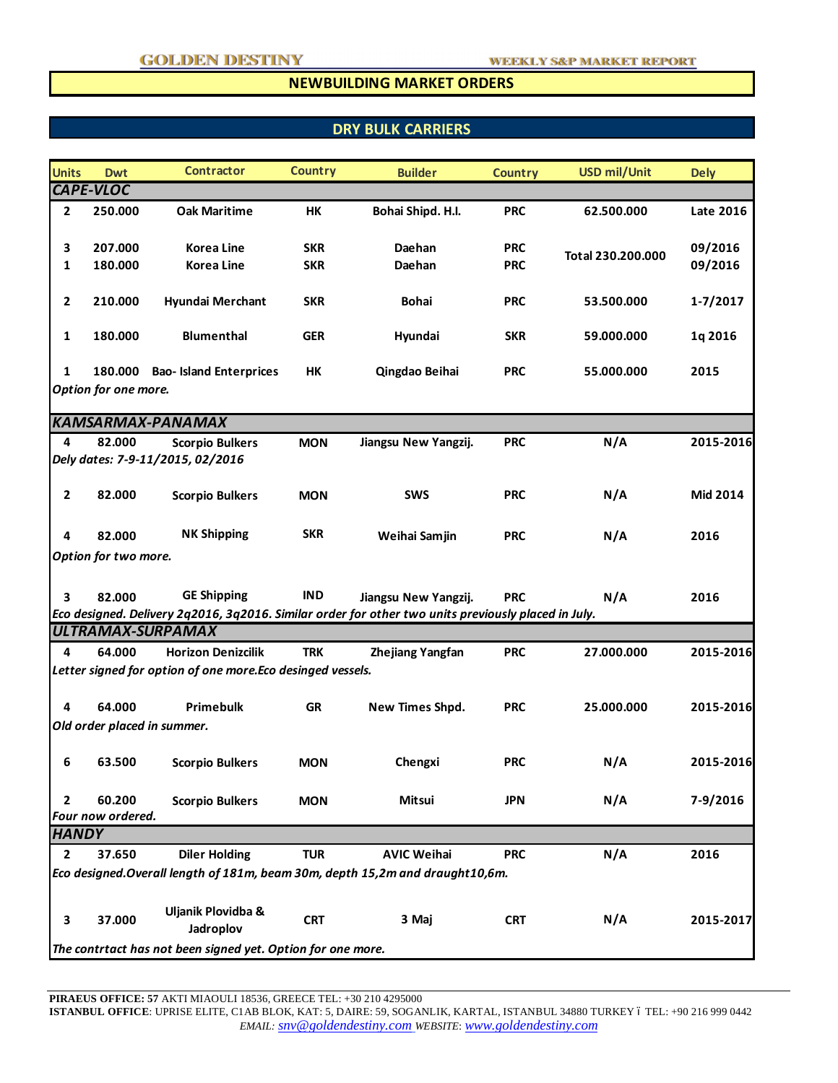#### **NEWBUILDING MARKET ORDERS**

# **DRY BULK CARRIERS**

| <b>Units</b>   | <b>Dwt</b>                                                  | <b>Contractor</b>                                                                                                               | <b>Country</b> | <b>Builder</b>          | <b>Country</b> | <b>USD mil/Unit</b> | <b>Dely</b>  |  |
|----------------|-------------------------------------------------------------|---------------------------------------------------------------------------------------------------------------------------------|----------------|-------------------------|----------------|---------------------|--------------|--|
|                | CAPE-VLOC                                                   |                                                                                                                                 |                |                         |                |                     |              |  |
| $\mathbf{2}$   | 250.000                                                     | <b>Oak Maritime</b>                                                                                                             | HK             | Bohai Shipd. H.I.       | <b>PRC</b>     | 62.500.000          | Late 2016    |  |
| 3              | 207.000                                                     | Korea Line                                                                                                                      | <b>SKR</b>     | Daehan                  | <b>PRC</b>     |                     | 09/2016      |  |
| 1              | 180.000                                                     | <b>Korea Line</b>                                                                                                               | <b>SKR</b>     | Daehan                  | <b>PRC</b>     | Total 230.200.000   | 09/2016      |  |
| $\mathbf{2}$   | 210.000                                                     | Hyundai Merchant                                                                                                                | <b>SKR</b>     | <b>Bohai</b>            | <b>PRC</b>     | 53.500.000          | $1 - 7/2017$ |  |
| 1              | 180.000                                                     | <b>Blumenthal</b>                                                                                                               | <b>GER</b>     | Hyundai                 | <b>SKR</b>     | 59.000.000          | 1q 2016      |  |
| 1              |                                                             | 180.000 Bao- Island Enterprices                                                                                                 | HK             | Qingdao Beihai          | <b>PRC</b>     | 55.000.000          | 2015         |  |
|                | Option for one more.                                        |                                                                                                                                 |                |                         |                |                     |              |  |
|                |                                                             |                                                                                                                                 |                |                         |                |                     |              |  |
|                |                                                             | <b>KAMSARMAX-PANAMAX</b>                                                                                                        |                |                         |                |                     |              |  |
| 4              | 82.000                                                      | <b>Scorpio Bulkers</b><br>Dely dates: 7-9-11/2015, 02/2016                                                                      | <b>MON</b>     | Jiangsu New Yangzij.    | <b>PRC</b>     | N/A                 | 2015-2016    |  |
|                |                                                             |                                                                                                                                 |                |                         |                |                     |              |  |
| $\mathbf{2}$   | 82.000                                                      | <b>Scorpio Bulkers</b>                                                                                                          | <b>MON</b>     | <b>SWS</b>              | <b>PRC</b>     | N/A                 | Mid 2014     |  |
| 4              | 82.000                                                      | <b>NK Shipping</b>                                                                                                              | <b>SKR</b>     | Weihai Samjin           | <b>PRC</b>     | N/A                 | 2016         |  |
|                | Option for two more.                                        |                                                                                                                                 |                |                         |                |                     |              |  |
| 3              | 82.000                                                      | <b>GE Shipping</b>                                                                                                              | <b>IND</b>     | Jiangsu New Yangzij.    | <b>PRC</b>     | N/A                 | 2016         |  |
|                |                                                             | Eco designed. Delivery 2q2016, 3q2016. Similar order for other two units previously placed in July.<br><b>ULTRAMAX-SURPAMAX</b> |                |                         |                |                     |              |  |
| 4              | 64.000                                                      | <b>Horizon Denizcilik</b>                                                                                                       | <b>TRK</b>     |                         | <b>PRC</b>     | 27.000.000          | 2015-2016    |  |
|                |                                                             | Letter signed for option of one more. Eco desinged vessels.                                                                     |                | <b>Zhejiang Yangfan</b> |                |                     |              |  |
|                |                                                             |                                                                                                                                 |                |                         |                |                     |              |  |
| 4              | 64.000                                                      | Primebulk                                                                                                                       | GR             | New Times Shpd.         | <b>PRC</b>     | 25.000.000          | 2015-2016    |  |
|                |                                                             | Old order placed in summer.                                                                                                     |                |                         |                |                     |              |  |
|                |                                                             |                                                                                                                                 |                |                         |                |                     |              |  |
| 6              | 63.500                                                      | <b>Scorpio Bulkers</b>                                                                                                          | <b>MON</b>     | Chengxi                 | <b>PRC</b>     | N/A                 | 2015-2016    |  |
|                |                                                             |                                                                                                                                 |                |                         |                |                     |              |  |
| $\mathbf{2}$   | 60.200                                                      | <b>Scorpio Bulkers</b>                                                                                                          | <b>MON</b>     | <b>Mitsui</b>           | <b>JPN</b>     | N/A                 | 7-9/2016     |  |
|                | Four now ordered.                                           |                                                                                                                                 |                |                         |                |                     |              |  |
| <b>HANDY</b>   |                                                             |                                                                                                                                 |                |                         |                |                     |              |  |
| $\overline{2}$ | 37.650                                                      | <b>Diler Holding</b>                                                                                                            | <b>TUR</b>     | <b>AVIC Weihai</b>      | <b>PRC</b>     | N/A                 | 2016         |  |
|                |                                                             | Eco designed.Overall length of 181m, beam 30m, depth 15,2m and draught10,6m.                                                    |                |                         |                |                     |              |  |
| 3              | 37.000                                                      | Uljanik Plovidba &<br>Jadroplov                                                                                                 | <b>CRT</b>     | 3 Maj                   | <b>CRT</b>     | N/A                 | 2015-2017    |  |
|                | The contrtact has not been signed yet. Option for one more. |                                                                                                                                 |                |                         |                |                     |              |  |

**PIRAEUS OFFICE: 57** AKTI MIAOULI 18536, GREECE TEL: +30 210 4295000

**ISTANBUL OFFICE**: UPRISE ELITE, C1AB BLOK, KAT: 5, DAIRE: 59, SOGANLIK, KARTAL, ISTANBUL 34880 TURKEY ó TEL: +90 216 999 0442 *EMAIL: snv@goldendestiny.com WEBSITE*: *www.goldendestiny.com*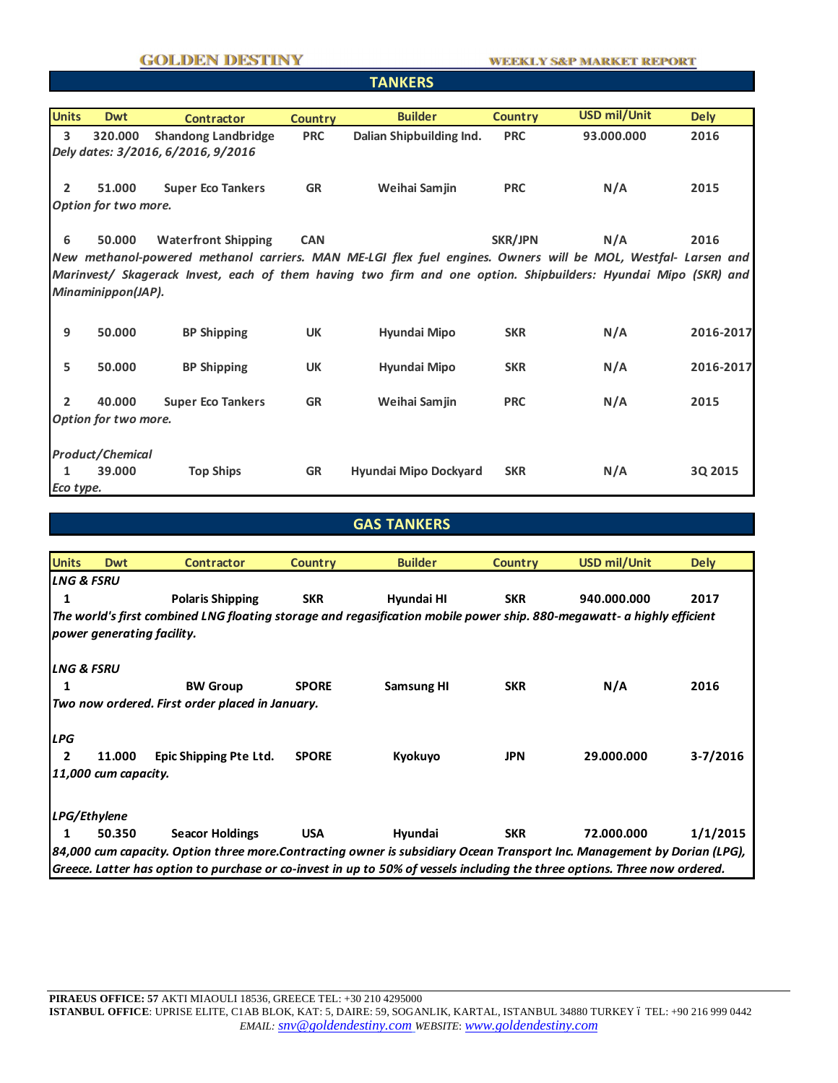#### **GOLDEN DESTINY**

## **TANKERS**

| <b>Units</b>   | <b>Dwt</b>                                                                                                                                     | <b>Contractor</b>          | <b>Country</b> | <b>Builder</b>                                                                                                 | <b>Country</b> | <b>USD mil/Unit</b> | <b>Dely</b> |  |  |  |
|----------------|------------------------------------------------------------------------------------------------------------------------------------------------|----------------------------|----------------|----------------------------------------------------------------------------------------------------------------|----------------|---------------------|-------------|--|--|--|
|                |                                                                                                                                                |                            |                |                                                                                                                |                |                     |             |  |  |  |
|                | $\overline{\mathbf{3}}$<br>320.000<br><b>Shandong Landbridge</b><br>Dalian Shipbuilding Ind.<br>93.000.000<br>2016<br><b>PRC</b><br><b>PRC</b> |                            |                |                                                                                                                |                |                     |             |  |  |  |
|                | Dely dates: 3/2016, 6/2016, 9/2016                                                                                                             |                            |                |                                                                                                                |                |                     |             |  |  |  |
|                |                                                                                                                                                |                            |                |                                                                                                                |                |                     |             |  |  |  |
| $\overline{2}$ | 51.000                                                                                                                                         | <b>Super Eco Tankers</b>   | <b>GR</b>      | Weihai Samjin                                                                                                  | <b>PRC</b>     | N/A                 | 2015        |  |  |  |
|                | Option for two more.                                                                                                                           |                            |                |                                                                                                                |                |                     |             |  |  |  |
|                |                                                                                                                                                |                            |                |                                                                                                                |                |                     |             |  |  |  |
| 6              | 50.000                                                                                                                                         | <b>Waterfront Shipping</b> | <b>CAN</b>     |                                                                                                                | SKR/JPN        | N/A                 | 2016        |  |  |  |
|                |                                                                                                                                                |                            |                |                                                                                                                |                |                     |             |  |  |  |
|                |                                                                                                                                                |                            |                | New methanol-powered methanol carriers. MAN ME-LGI flex fuel engines. Owners will be MOL, Westfal- Larsen and  |                |                     |             |  |  |  |
|                |                                                                                                                                                |                            |                | Marinvest/ Skagerack Invest, each of them having two firm and one option. Shipbuilders: Hyundai Mipo (SKR) and |                |                     |             |  |  |  |
|                | Minaminippon(JAP).                                                                                                                             |                            |                |                                                                                                                |                |                     |             |  |  |  |
|                |                                                                                                                                                |                            |                |                                                                                                                |                |                     |             |  |  |  |
|                |                                                                                                                                                |                            |                |                                                                                                                |                |                     |             |  |  |  |
| 9              | 50.000                                                                                                                                         | <b>BP Shipping</b>         | <b>UK</b>      | Hyundai Mipo                                                                                                   | <b>SKR</b>     | N/A                 | 2016-2017   |  |  |  |
|                |                                                                                                                                                |                            |                |                                                                                                                |                |                     |             |  |  |  |
| 5              | 50.000                                                                                                                                         | <b>BP Shipping</b>         | <b>UK</b>      | Hyundai Mipo                                                                                                   | <b>SKR</b>     | N/A                 | 2016-2017   |  |  |  |
|                |                                                                                                                                                |                            |                |                                                                                                                |                |                     |             |  |  |  |
| $\overline{2}$ | 40.000                                                                                                                                         | <b>Super Eco Tankers</b>   | <b>GR</b>      | Weihai Samjin                                                                                                  | <b>PRC</b>     | N/A                 | 2015        |  |  |  |
|                | Option for two more.                                                                                                                           |                            |                |                                                                                                                |                |                     |             |  |  |  |
|                |                                                                                                                                                |                            |                |                                                                                                                |                |                     |             |  |  |  |
|                | <b>Product/Chemical</b>                                                                                                                        |                            |                |                                                                                                                |                |                     |             |  |  |  |
|                |                                                                                                                                                |                            |                |                                                                                                                |                |                     |             |  |  |  |
| 1              | 39,000                                                                                                                                         | <b>Top Ships</b>           | <b>GR</b>      | Hyundai Mipo Dockyard                                                                                          | <b>SKR</b>     | N/A                 | 3Q 2015     |  |  |  |
| Eco type.      |                                                                                                                                                |                            |                |                                                                                                                |                |                     |             |  |  |  |

## **GAS TANKERS**

| <b>Units</b>          | <b>Dwt</b>                                                                                                              | Contractor                                                                                                                 | <b>Country</b> | <b>Builder</b>    | <b>Country</b> | USD mil/Unit | <b>Dely</b> |  |  |
|-----------------------|-------------------------------------------------------------------------------------------------------------------------|----------------------------------------------------------------------------------------------------------------------------|----------------|-------------------|----------------|--------------|-------------|--|--|
| <b>LNG &amp; FSRU</b> |                                                                                                                         |                                                                                                                            |                |                   |                |              |             |  |  |
| 1                     |                                                                                                                         | <b>Polaris Shipping</b>                                                                                                    | <b>SKR</b>     | Hyundai HI        | <b>SKR</b>     | 940.000.000  | 2017        |  |  |
|                       |                                                                                                                         | The world's first combined LNG floating storage and regasification mobile power ship. 880-megawatt- a highly efficient     |                |                   |                |              |             |  |  |
|                       | power generating facility.                                                                                              |                                                                                                                            |                |                   |                |              |             |  |  |
| <b>LNG &amp; FSRU</b> |                                                                                                                         |                                                                                                                            |                |                   |                |              |             |  |  |
| 1                     |                                                                                                                         | <b>BW Group</b>                                                                                                            | <b>SPORE</b>   | <b>Samsung HI</b> | <b>SKR</b>     | N/A          | 2016        |  |  |
|                       |                                                                                                                         | Two now ordered. First order placed in January.                                                                            |                |                   |                |              |             |  |  |
| <b>LPG</b>            |                                                                                                                         |                                                                                                                            |                |                   |                |              |             |  |  |
| $\overline{2}$        | 11.000                                                                                                                  | Epic Shipping Pte Ltd.                                                                                                     | <b>SPORE</b>   | Kyokuyo           | <b>JPN</b>     | 29.000.000   | $3-7/2016$  |  |  |
|                       | 11,000 cum capacity.                                                                                                    |                                                                                                                            |                |                   |                |              |             |  |  |
|                       | LPG/Ethylene                                                                                                            |                                                                                                                            |                |                   |                |              |             |  |  |
| 1                     | 50.350                                                                                                                  | <b>Seacor Holdings</b>                                                                                                     | <b>USA</b>     | Hyundai           | <b>SKR</b>     | 72.000.000   | 1/1/2015    |  |  |
|                       | 84,000 cum capacity. Option three more.Contracting owner is subsidiary Ocean Transport Inc. Management by Dorian (LPG), |                                                                                                                            |                |                   |                |              |             |  |  |
|                       |                                                                                                                         | Greece. Latter has option to purchase or co-invest in up to 50% of vessels including the three options. Three now ordered. |                |                   |                |              |             |  |  |

**PIRAEUS OFFICE: 57** AKTI MIAOULI 18536, GREECE TEL: +30 210 4295000 **ISTANBUL OFFICE**: UPRISE ELITE, C1AB BLOK, KAT: 5, DAIRE: 59, SOGANLIK, KARTAL, ISTANBUL 34880 TURKEY ó TEL: +90 216 999 0442 *EMAIL: snv@goldendestiny.com WEBSITE*: *www.goldendestiny.com*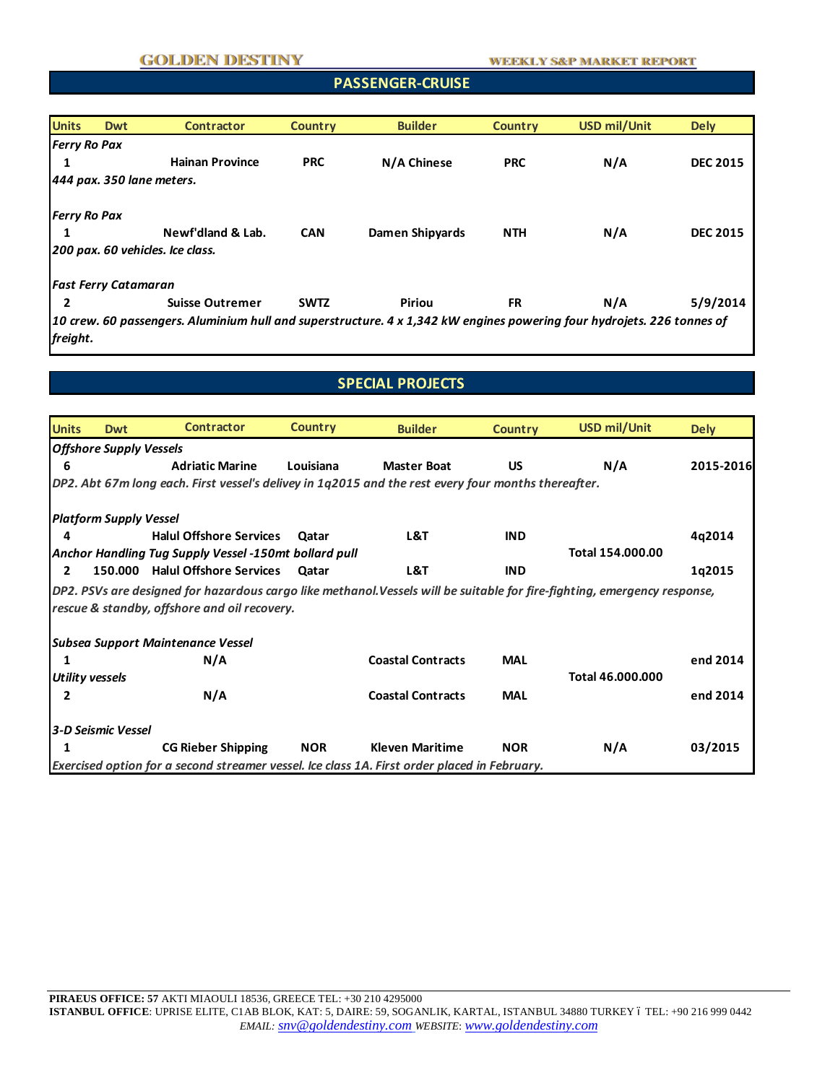#### **PASSENGER-CRUISE**

| <b>Units</b>        | <b>Dwt</b>                   | <b>Contractor</b>                                                                                                      | <b>Country</b> | <b>Builder</b>  | <b>Country</b> | <b>USD mil/Unit</b> | <b>Dely</b>     |
|---------------------|------------------------------|------------------------------------------------------------------------------------------------------------------------|----------------|-----------------|----------------|---------------------|-----------------|
| <b>Ferry Ro Pax</b> |                              |                                                                                                                        |                |                 |                |                     |                 |
|                     |                              | <b>Hainan Province</b>                                                                                                 | <b>PRC</b>     | N/A Chinese     | <b>PRC</b>     | N/A                 | <b>DEC 2015</b> |
|                     | $ 444$ pax. 350 lane meters. |                                                                                                                        |                |                 |                |                     |                 |
| <b>Ferry Ro Pax</b> |                              |                                                                                                                        |                |                 |                |                     |                 |
|                     |                              | Newf'dland & Lab.                                                                                                      | <b>CAN</b>     | Damen Shipyards | <b>NTH</b>     | N/A                 | <b>DEC 2015</b> |
|                     |                              | 200 pax. 60 vehicles. Ice class.                                                                                       |                |                 |                |                     |                 |
|                     | <b>Fast Ferry Catamaran</b>  |                                                                                                                        |                |                 |                |                     |                 |
|                     |                              | <b>Suisse Outremer</b>                                                                                                 | <b>SWTZ</b>    | <b>Piriou</b>   | <b>FR</b>      | N/A                 | 5/9/2014        |
|                     |                              | 10 crew. 60 passengers. Aluminium hull and superstructure. 4 x 1,342 kW engines powering four hydrojets. 226 tonnes of |                |                 |                |                     |                 |
| freight.            |                              |                                                                                                                        |                |                 |                |                     |                 |

# **SPECIAL PROJECTS**

| <b>Units</b>   | <b>Dwt</b>                     | <b>Contractor</b>                                                                                                        | <b>Country</b> | <b>Builder</b>           | <b>Country</b> | <b>USD mil/Unit</b> | <b>Dely</b> |  |  |
|----------------|--------------------------------|--------------------------------------------------------------------------------------------------------------------------|----------------|--------------------------|----------------|---------------------|-------------|--|--|
|                | <b>Offshore Supply Vessels</b> |                                                                                                                          |                |                          |                |                     |             |  |  |
| 6              |                                | <b>Adriatic Marine</b>                                                                                                   | Louisiana      | <b>Master Boat</b>       | <b>US</b>      | N/A                 | 2015-2016   |  |  |
|                |                                | DP2. Abt 67m long each. First vessel's delivey in 1q2015 and the rest every four months thereafter.                      |                |                          |                |                     |             |  |  |
|                | <b>Platform Supply Vessel</b>  |                                                                                                                          |                |                          |                |                     |             |  |  |
| д              |                                | <b>Halul Offshore Services</b>                                                                                           | Qatar          | L&T                      | <b>IND</b>     |                     | 4q2014      |  |  |
|                |                                | Anchor Handling Tug Supply Vessel -150mt bollard pull                                                                    |                |                          |                | Total 154,000,00    |             |  |  |
| $\overline{2}$ |                                | 150.000 Halul Offshore Services                                                                                          | Qatar          | L&T                      | <b>IND</b>     |                     | 1q2015      |  |  |
|                |                                | DP2. PSVs are designed for hazardous cargo like methanol.Vessels will be suitable for fire-fighting, emergency response, |                |                          |                |                     |             |  |  |
|                |                                | rescue & standby, offshore and oil recovery.                                                                             |                |                          |                |                     |             |  |  |
|                |                                | Subsea Support Maintenance Vessel                                                                                        |                |                          |                |                     |             |  |  |
|                |                                | N/A                                                                                                                      |                | <b>Coastal Contracts</b> | <b>MAL</b>     |                     | end 2014    |  |  |
|                | Utility vessels                |                                                                                                                          |                |                          |                | Total 46.000.000    |             |  |  |
| 2              |                                | N/A                                                                                                                      |                | <b>Coastal Contracts</b> | <b>MAL</b>     |                     | end 2014    |  |  |
|                | 3-D Seismic Vessel             |                                                                                                                          |                |                          |                |                     |             |  |  |
|                |                                | <b>CG Rieber Shipping</b>                                                                                                | <b>NOR</b>     | <b>Kleven Maritime</b>   | <b>NOR</b>     | N/A                 | 03/2015     |  |  |
|                |                                | Exercised option for a second streamer vessel. Ice class 1A. First order placed in February.                             |                |                          |                |                     |             |  |  |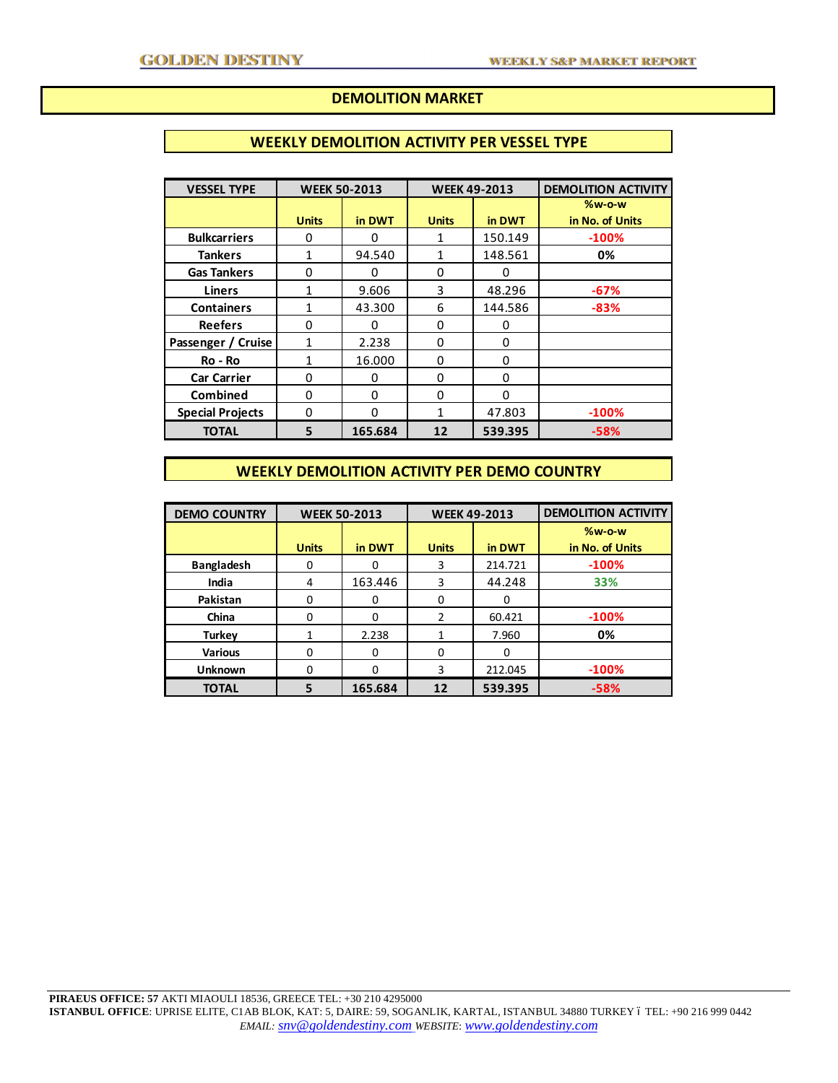### **DEMOLITION MARKET**

#### **WEEKLY DEMOLITION ACTIVITY PER VESSEL TYPE**

| <b>VESSEL TYPE</b>      |              | <b>WEEK 50-2013</b><br><b>WEEK 49-2013</b> |              | <b>DEMOLITION ACTIVITY</b> |                 |
|-------------------------|--------------|--------------------------------------------|--------------|----------------------------|-----------------|
|                         |              |                                            |              |                            | %w-o-w          |
|                         | <b>Units</b> | in DWT                                     | <b>Units</b> | in DWT                     | in No. of Units |
| <b>Bulkcarriers</b>     | 0            | U                                          | 1            | 150.149                    | $-100%$         |
| <b>Tankers</b>          |              | 94.540                                     | 1            | 148.561                    | 0%              |
| <b>Gas Tankers</b>      | 0            | ∩                                          | $\Omega$     | U                          |                 |
| <b>Liners</b>           |              | 9.606                                      | 3            | 48.296                     | $-67%$          |
| <b>Containers</b>       |              | 43.300                                     | 6            | 144.586                    | $-83%$          |
| <b>Reefers</b>          | 0            | O                                          | 0            | 0                          |                 |
| Passenger / Cruise      | 1            | 2.238                                      | $\Omega$     | 0                          |                 |
| Ro - Ro                 |              | 16.000                                     | $\Omega$     | 0                          |                 |
| <b>Car Carrier</b>      | 0            | ∩                                          | $\Omega$     | O                          |                 |
| <b>Combined</b>         | 0            | $\Omega$                                   | $\Omega$     | 0                          |                 |
| <b>Special Projects</b> | 0            | $\Omega$                                   | 1            | 47.803                     | $-100%$         |
| <b>TOTAL</b>            | 5            | 165.684                                    | 12           | 539.395                    | $-58%$          |

## **WEEKLY DEMOLITION ACTIVITY PER DEMO COUNTRY**

| <b>DEMO COUNTRY</b> | <b>WEEK 50-2013</b> |          | <b>WEEK 49-2013</b> |         | <b>DEMOLITION ACTIVITY</b> |  |
|---------------------|---------------------|----------|---------------------|---------|----------------------------|--|
|                     |                     |          |                     |         | $%w-o-w$                   |  |
|                     | <b>Units</b>        | in DWT   | <b>Units</b>        | in DWT  | in No. of Units            |  |
| <b>Bangladesh</b>   | 0                   | 0        | 3                   | 214.721 | $-100%$                    |  |
| India               | 4                   | 163.446  | 3                   | 44.248  | 33%                        |  |
| Pakistan            | 0                   | O        | $\Omega$            | 0       |                            |  |
| China               | $\Omega$            | O        | $\mathcal{P}$       | 60.421  | $-100%$                    |  |
| <b>Turkev</b>       |                     | 2.238    |                     | 7.960   | 0%                         |  |
| <b>Various</b>      | $\Omega$            | $\Omega$ | $\Omega$            | 0       |                            |  |
| <b>Unknown</b>      | 0                   | O        | 3                   | 212.045 | $-100%$                    |  |
| <b>TOTAL</b>        |                     | 165.684  | 12                  | 539.395 | $-58%$                     |  |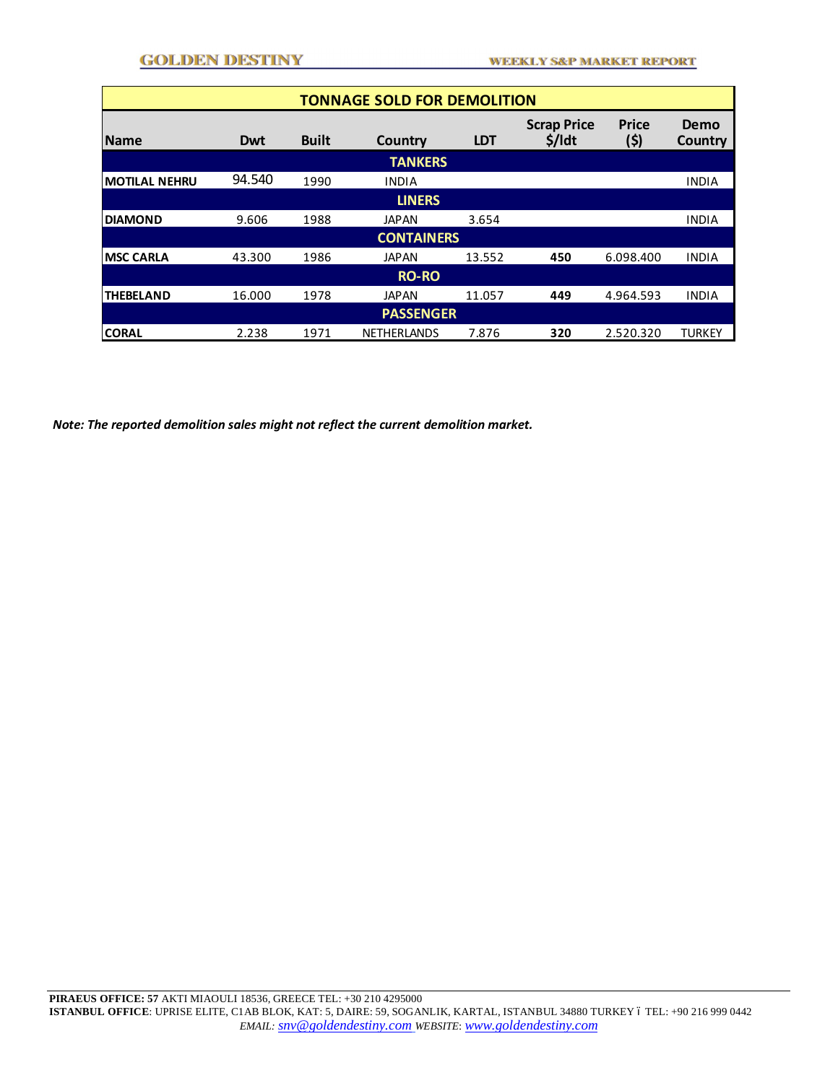| <b>TONNAGE SOLD FOR DEMOLITION</b> |        |              |                    |            |                                |                      |                 |  |  |
|------------------------------------|--------|--------------|--------------------|------------|--------------------------------|----------------------|-----------------|--|--|
| <b>Name</b>                        | Dwt    | <b>Built</b> | Country            | <b>LDT</b> | <b>Scrap Price</b><br>$$/$ ldt | <b>Price</b><br>(\$) | Demo<br>Country |  |  |
| <b>TANKERS</b>                     |        |              |                    |            |                                |                      |                 |  |  |
| <b>IMOTILAL NEHRU</b>              | 94.540 | 1990         | <b>INDIA</b>       |            |                                |                      | <b>INDIA</b>    |  |  |
| <b>LINERS</b>                      |        |              |                    |            |                                |                      |                 |  |  |
| <b>DIAMOND</b>                     | 9.606  | 1988         | <b>JAPAN</b>       | 3.654      |                                |                      | <b>INDIA</b>    |  |  |
| <b>CONTAINERS</b>                  |        |              |                    |            |                                |                      |                 |  |  |
| <b>IMSC CARLA</b>                  | 43.300 | 1986         | <b>JAPAN</b>       | 13.552     | 450                            | 6.098.400            | <b>INDIA</b>    |  |  |
| <b>RO-RO</b>                       |        |              |                    |            |                                |                      |                 |  |  |
| <b>THEBELAND</b>                   | 16.000 | 1978         | <b>JAPAN</b>       | 11.057     | 449                            | 4.964.593            | <b>INDIA</b>    |  |  |
| <b>PASSENGER</b>                   |        |              |                    |            |                                |                      |                 |  |  |
| <b>CORAL</b>                       | 2.238  | 1971         | <b>NETHERLANDS</b> | 7.876      | 320                            | 2.520.320            | <b>TURKEY</b>   |  |  |

*Note: The reported demolition sales might not reflect the current demolition market.*